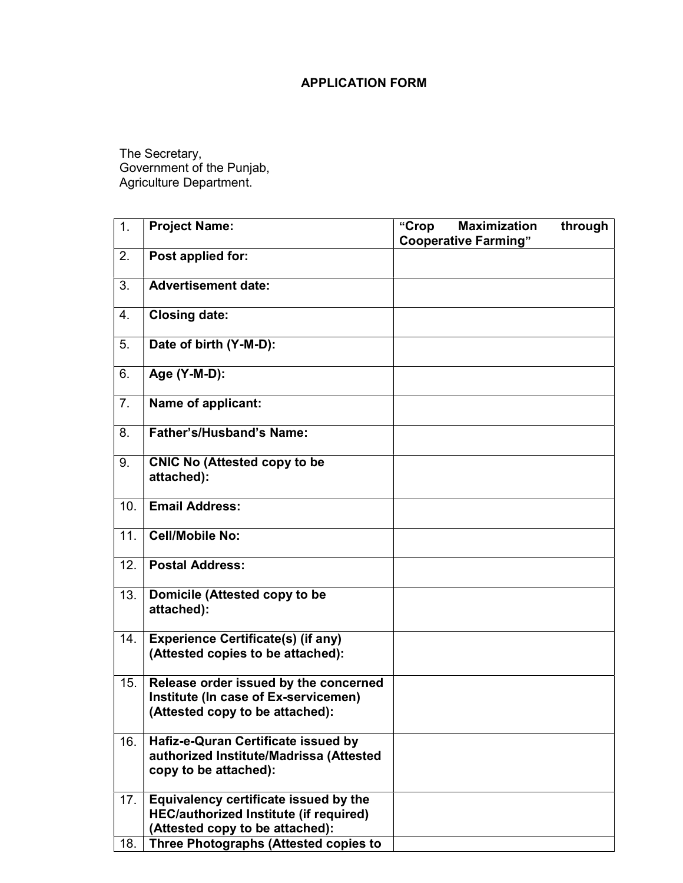## APPLICATION FORM

The Secretary, Government of the Punjab, Agriculture Department.

| 1.  | <b>Project Name:</b>                                                                                                      | <b>Maximization</b><br>"Crop<br><b>Cooperative Farming"</b> | through |
|-----|---------------------------------------------------------------------------------------------------------------------------|-------------------------------------------------------------|---------|
| 2.  | Post applied for:                                                                                                         |                                                             |         |
| 3.  | <b>Advertisement date:</b>                                                                                                |                                                             |         |
| 4.  | <b>Closing date:</b>                                                                                                      |                                                             |         |
| 5.  | Date of birth (Y-M-D):                                                                                                    |                                                             |         |
| 6.  | Age (Y-M-D):                                                                                                              |                                                             |         |
| 7.  | Name of applicant:                                                                                                        |                                                             |         |
| 8.  | <b>Father's/Husband's Name:</b>                                                                                           |                                                             |         |
| 9.  | <b>CNIC No (Attested copy to be</b><br>attached):                                                                         |                                                             |         |
| 10. | <b>Email Address:</b>                                                                                                     |                                                             |         |
| 11. | <b>Cell/Mobile No:</b>                                                                                                    |                                                             |         |
| 12. | <b>Postal Address:</b>                                                                                                    |                                                             |         |
| 13. | Domicile (Attested copy to be<br>attached):                                                                               |                                                             |         |
| 14. | <b>Experience Certificate(s) (if any)</b><br>(Attested copies to be attached):                                            |                                                             |         |
| 15. | Release order issued by the concerned<br>Institute (In case of Ex-servicemen)<br>(Attested copy to be attached):          |                                                             |         |
| 16. | Hafiz-e-Quran Certificate issued by<br>authorized Institute/Madrissa (Attested<br>copy to be attached):                   |                                                             |         |
| 17. | Equivalency certificate issued by the<br><b>HEC/authorized Institute (if required)</b><br>(Attested copy to be attached): |                                                             |         |
| 18. | <b>Three Photographs (Attested copies to</b>                                                                              |                                                             |         |